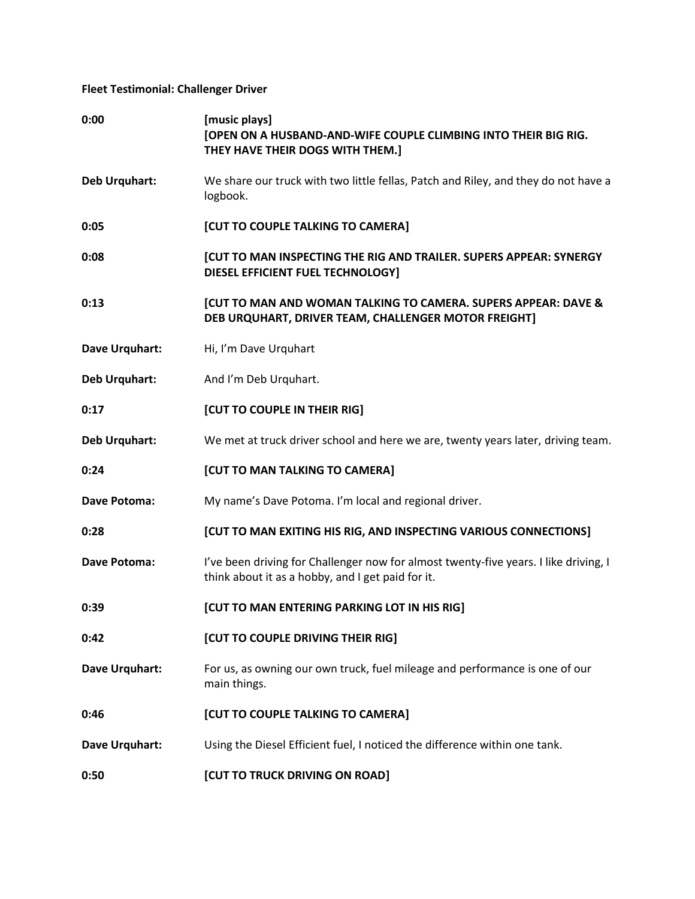## **Fleet Testimonial: Challenger Driver**

| 0:00                 | [music plays]<br>[OPEN ON A HUSBAND-AND-WIFE COUPLE CLIMBING INTO THEIR BIG RIG.<br>THEY HAVE THEIR DOGS WITH THEM.]                      |
|----------------------|-------------------------------------------------------------------------------------------------------------------------------------------|
| <b>Deb Urquhart:</b> | We share our truck with two little fellas, Patch and Riley, and they do not have a<br>logbook.                                            |
| 0:05                 | <b>[CUT TO COUPLE TALKING TO CAMERA]</b>                                                                                                  |
| 0:08                 | <b>[CUT TO MAN INSPECTING THE RIG AND TRAILER. SUPERS APPEAR: SYNERGY</b><br>DIESEL EFFICIENT FUEL TECHNOLOGY]                            |
| 0:13                 | [CUT TO MAN AND WOMAN TALKING TO CAMERA. SUPERS APPEAR: DAVE &<br>DEB URQUHART, DRIVER TEAM, CHALLENGER MOTOR FREIGHT]                    |
| Dave Urquhart:       | Hi, I'm Dave Urquhart                                                                                                                     |
| Deb Urquhart:        | And I'm Deb Urquhart.                                                                                                                     |
| 0:17                 | [CUT TO COUPLE IN THEIR RIG]                                                                                                              |
| <b>Deb Urquhart:</b> | We met at truck driver school and here we are, twenty years later, driving team.                                                          |
| 0:24                 | [CUT TO MAN TALKING TO CAMERA]                                                                                                            |
| Dave Potoma:         | My name's Dave Potoma. I'm local and regional driver.                                                                                     |
| 0:28                 | [CUT TO MAN EXITING HIS RIG, AND INSPECTING VARIOUS CONNECTIONS]                                                                          |
| <b>Dave Potoma:</b>  | I've been driving for Challenger now for almost twenty-five years. I like driving, I<br>think about it as a hobby, and I get paid for it. |
| 0:39                 | [CUT TO MAN ENTERING PARKING LOT IN HIS RIG]                                                                                              |
| 0:42                 | [CUT TO COUPLE DRIVING THEIR RIG]                                                                                                         |
| Dave Urquhart:       | For us, as owning our own truck, fuel mileage and performance is one of our<br>main things.                                               |
| 0:46                 | [CUT TO COUPLE TALKING TO CAMERA]                                                                                                         |
| Dave Urquhart:       | Using the Diesel Efficient fuel, I noticed the difference within one tank.                                                                |
| 0:50                 | [CUT TO TRUCK DRIVING ON ROAD]                                                                                                            |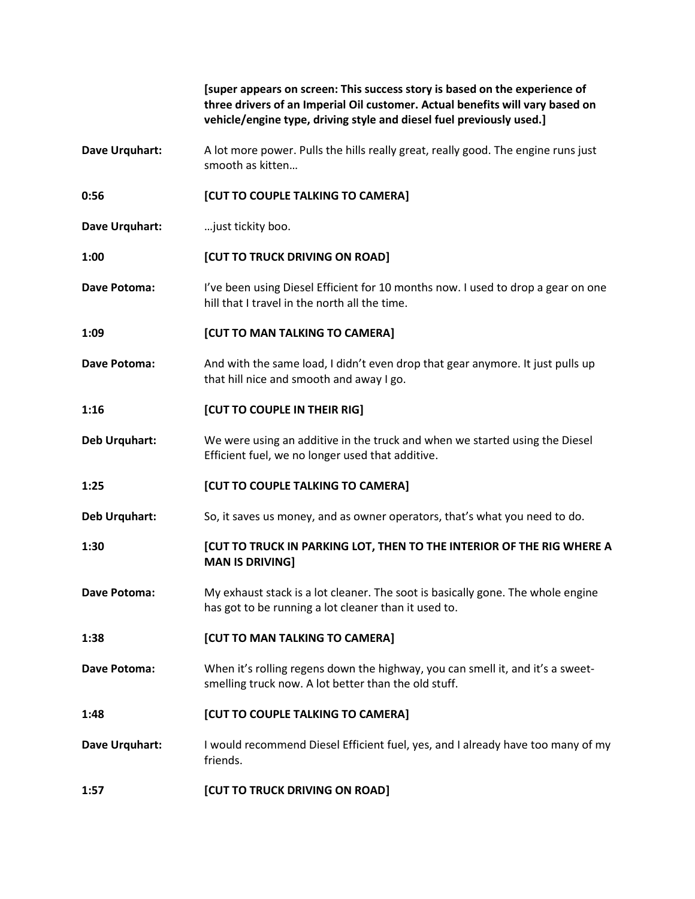|                     | [super appears on screen: This success story is based on the experience of<br>three drivers of an Imperial Oil customer. Actual benefits will vary based on<br>vehicle/engine type, driving style and diesel fuel previously used.] |
|---------------------|-------------------------------------------------------------------------------------------------------------------------------------------------------------------------------------------------------------------------------------|
| Dave Urquhart:      | A lot more power. Pulls the hills really great, really good. The engine runs just<br>smooth as kitten                                                                                                                               |
| 0:56                | [CUT TO COUPLE TALKING TO CAMERA]                                                                                                                                                                                                   |
| Dave Urquhart:      | just tickity boo.                                                                                                                                                                                                                   |
| 1:00                | [CUT TO TRUCK DRIVING ON ROAD]                                                                                                                                                                                                      |
| <b>Dave Potoma:</b> | I've been using Diesel Efficient for 10 months now. I used to drop a gear on one<br>hill that I travel in the north all the time.                                                                                                   |
| 1:09                | [CUT TO MAN TALKING TO CAMERA]                                                                                                                                                                                                      |
| Dave Potoma:        | And with the same load, I didn't even drop that gear anymore. It just pulls up<br>that hill nice and smooth and away I go.                                                                                                          |
| 1:16                | [CUT TO COUPLE IN THEIR RIG]                                                                                                                                                                                                        |
| Deb Urquhart:       | We were using an additive in the truck and when we started using the Diesel<br>Efficient fuel, we no longer used that additive.                                                                                                     |
| 1:25                | [CUT TO COUPLE TALKING TO CAMERA]                                                                                                                                                                                                   |
| Deb Urquhart:       | So, it saves us money, and as owner operators, that's what you need to do.                                                                                                                                                          |
| 1:30                | [CUT TO TRUCK IN PARKING LOT, THEN TO THE INTERIOR OF THE RIG WHERE A<br><b>MAN IS DRIVING]</b>                                                                                                                                     |
| <b>Dave Potoma:</b> | My exhaust stack is a lot cleaner. The soot is basically gone. The whole engine<br>has got to be running a lot cleaner than it used to.                                                                                             |
| 1:38                | [CUT TO MAN TALKING TO CAMERA]                                                                                                                                                                                                      |
| Dave Potoma:        | When it's rolling regens down the highway, you can smell it, and it's a sweet-<br>smelling truck now. A lot better than the old stuff.                                                                                              |
| 1:48                | [CUT TO COUPLE TALKING TO CAMERA]                                                                                                                                                                                                   |
| Dave Urquhart:      | I would recommend Diesel Efficient fuel, yes, and I already have too many of my<br>friends.                                                                                                                                         |
| 1:57                | [CUT TO TRUCK DRIVING ON ROAD]                                                                                                                                                                                                      |